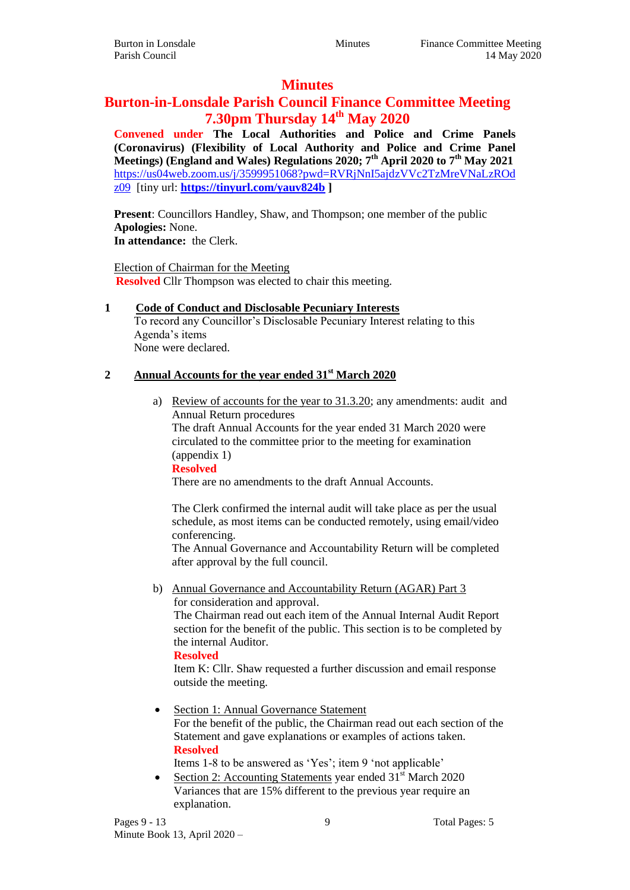# **Minutes**

# **Burton-in-Lonsdale Parish Council Finance Committee Meeting 7.30pm Thursday 14th May 2020**

**Convened under The Local Authorities and Police and Crime Panels (Coronavirus) (Flexibility of Local Authority and Police and Crime Panel Meetings) (England and Wales) Regulations 2020; 7th April 2020 to 7th May 2021** [https://us04web.zoom.us/j/3599951068?pwd=RVRjNnI5ajdzVVc2TzMreVNaLzROd](https://us04web.zoom.us/j/3599951068?pwd=RVRjNnI5ajdzVVc2TzMreVNaLzROdz09) [z09](https://us04web.zoom.us/j/3599951068?pwd=RVRjNnI5ajdzVVc2TzMreVNaLzROdz09) [tiny url: **<https://tinyurl.com/yauv824b> ]**

**Present:** Councillors Handley, Shaw, and Thompson; one member of the public **Apologies:** None. **In attendance:** the Clerk.

Election of Chairman for the Meeting

**Resolved** Cllr Thompson was elected to chair this meeting.

#### **1 Code of Conduct and Disclosable Pecuniary Interests**

To record any Councillor's Disclosable Pecuniary Interest relating to this Agenda's items None were declared.

## **2 Annual Accounts for the year ended 31st March 2020**

a) Review of accounts for the year to 31.3.20; any amendments: audit and Annual Return procedures

The draft Annual Accounts for the year ended 31 March 2020 were circulated to the committee prior to the meeting for examination (appendix 1)

**Resolved**

There are no amendments to the draft Annual Accounts.

The Clerk confirmed the internal audit will take place as per the usual schedule, as most items can be conducted remotely, using email/video conferencing.

The Annual Governance and Accountability Return will be completed after approval by the full council.

b) Annual Governance and Accountability Return (AGAR) Part 3 for consideration and approval.

The Chairman read out each item of the Annual Internal Audit Report section for the benefit of the public. This section is to be completed by the internal Auditor.

#### **Resolved**

Item K: Cllr. Shaw requested a further discussion and email response outside the meeting.

• Section 1: Annual Governance Statement For the benefit of the public, the Chairman read out each section of the Statement and gave explanations or examples of actions taken. **Resolved**

Items 1-8 to be answered as 'Yes'; item 9 'not applicable'

• Section 2: Accounting Statements year ended  $31<sup>st</sup>$  March 2020 Variances that are 15% different to the previous year require an explanation.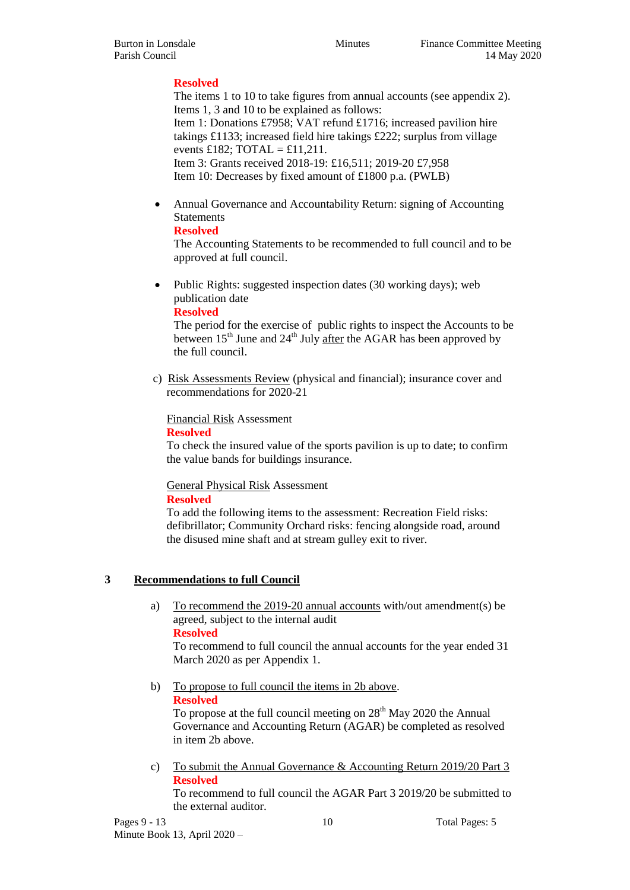## **Resolved**

The items 1 to 10 to take figures from annual accounts (see appendix 2). Items 1, 3 and 10 to be explained as follows: Item 1: Donations £7958; VAT refund £1716; increased pavilion hire takings £1133; increased field hire takings £222; surplus from village events £182; TOTAL = £11,211. Item 3: Grants received 2018-19: £16,511; 2019-20 £7,958 Item 10: Decreases by fixed amount of £1800 p.a. (PWLB)

 Annual Governance and Accountability Return: signing of Accounting **Statements** 

## **Resolved**

The Accounting Statements to be recommended to full council and to be approved at full council.

• Public Rights: suggested inspection dates (30 working days); web publication date

## **Resolved**

The period for the exercise of public rights to inspect the Accounts to be between  $15<sup>th</sup>$  June and  $24<sup>th</sup>$  July after the AGAR has been approved by the full council.

c) Risk Assessments Review (physical and financial); insurance cover and recommendations for 2020-21

Financial Risk Assessment

#### **Resolved**

To check the insured value of the sports pavilion is up to date; to confirm the value bands for buildings insurance.

General Physical Risk Assessment

#### **Resolved**

To add the following items to the assessment: Recreation Field risks: defibrillator; Community Orchard risks: fencing alongside road, around the disused mine shaft and at stream gulley exit to river.

## **3 Recommendations to full Council**

a) To recommend the 2019-20 annual accounts with/out amendment(s) be agreed, subject to the internal audit

**Resolved**

To recommend to full council the annual accounts for the year ended 31 March 2020 as per Appendix 1.

b) To propose to full council the items in 2b above. **Resolved**

To propose at the full council meeting on  $28<sup>th</sup>$  May 2020 the Annual Governance and Accounting Return (AGAR) be completed as resolved in item 2b above.

c) To submit the Annual Governance & Accounting Return 2019/20 Part 3 **Resolved**

To recommend to full council the AGAR Part 3 2019/20 be submitted to the external auditor.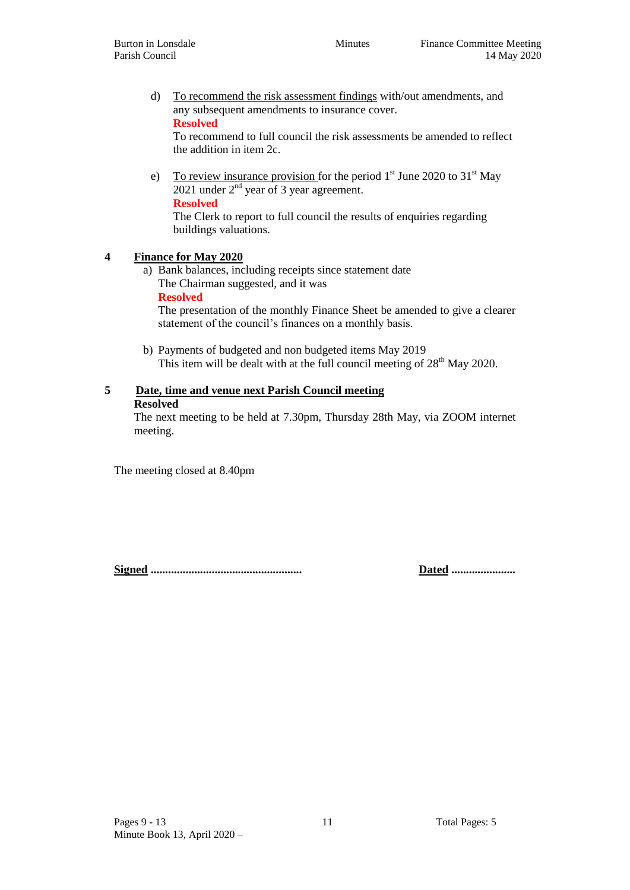d) To recommend the risk assessment findings with/out amendments, and any subsequent amendments to insurance cover. **Resolved**

To recommend to full council the risk assessments be amended to reflect the addition in item 2c.

e) To review insurance provision for the period  $1<sup>st</sup>$  June 2020 to 31<sup>st</sup> May 2021 under  $2<sup>nd</sup>$  year of 3 year agreement. **Resolved**

The Clerk to report to full council the results of enquiries regarding buildings valuations.

## **4 Finance for May 2020**

a) Bank balances, including receipts since statement date The Chairman suggested, and it was

#### **Resolved**

The presentation of the monthly Finance Sheet be amended to give a clearer statement of the council's finances on a monthly basis.

b) Payments of budgeted and non budgeted items May 2019 This item will be dealt with at the full council meeting of 28<sup>th</sup> May 2020.

## **5 Date, time and venue next Parish Council meeting**

#### **Resolved**

The next meeting to be held at 7.30pm, Thursday 28th May, via ZOOM internet meeting.

The meeting closed at 8.40pm

**Signed .................................................... Dated ......................**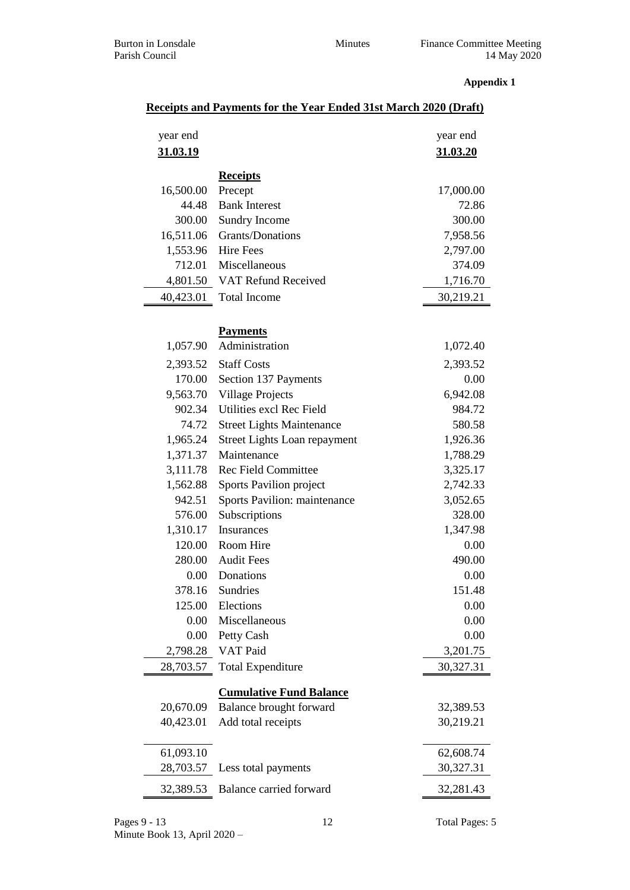#### **Appendix 1**

| year end  |                                     | year end  |
|-----------|-------------------------------------|-----------|
| 31.03.19  |                                     | 31.03.20  |
|           |                                     |           |
|           | <b>Receipts</b>                     |           |
| 16,500.00 | Precept                             | 17,000.00 |
| 44.48     | <b>Bank Interest</b>                | 72.86     |
| 300.00    | Sundry Income                       | 300.00    |
| 16,511.06 | Grants/Donations                    | 7,958.56  |
| 1,553.96  | <b>Hire Fees</b>                    | 2,797.00  |
| 712.01    | Miscellaneous                       | 374.09    |
| 4,801.50  | VAT Refund Received                 | 1,716.70  |
| 40,423.01 | <b>Total Income</b>                 | 30,219.21 |
|           | <b>Payments</b>                     |           |
| 1,057.90  | Administration                      | 1,072.40  |
| 2,393.52  | <b>Staff Costs</b>                  | 2,393.52  |
| 170.00    | Section 137 Payments                | 0.00      |
| 9,563.70  | <b>Village Projects</b>             | 6,942.08  |
| 902.34    | Utilities excl Rec Field            | 984.72    |
| 74.72     | <b>Street Lights Maintenance</b>    | 580.58    |
| 1,965.24  | <b>Street Lights Loan repayment</b> | 1,926.36  |
| 1,371.37  | Maintenance                         | 1,788.29  |
| 3,111.78  | <b>Rec Field Committee</b>          | 3,325.17  |
| 1,562.88  | Sports Pavilion project             | 2,742.33  |
| 942.51    | Sports Pavilion: maintenance        | 3,052.65  |
| 576.00    | Subscriptions                       | 328.00    |
| 1,310.17  | Insurances                          | 1,347.98  |
| 120.00    | Room Hire                           | 0.00      |
| 280.00    | <b>Audit Fees</b>                   | 490.00    |
| $0.00\,$  | Donations                           | 0.00      |
| 378.16    | Sundries                            | 151.48    |
| 125.00    | Elections                           | 0.00      |
| 0.00      | Miscellaneous                       | 0.00      |
| 0.00      | Petty Cash                          | 0.00      |
| 2,798.28  | VAT Paid                            | 3,201.75  |
| 28,703.57 | <b>Total Expenditure</b>            | 30,327.31 |
|           | <b>Cumulative Fund Balance</b>      |           |
| 20,670.09 | Balance brought forward             | 32,389.53 |
| 40,423.01 | Add total receipts                  | 30,219.21 |
| 61,093.10 |                                     | 62,608.74 |
| 28,703.57 | Less total payments                 | 30,327.31 |
| 32,389.53 | Balance carried forward             | 32,281.43 |

#### Pages 9 - 13 12 Total Pages: 5 Minute Book 13, April 2020 –